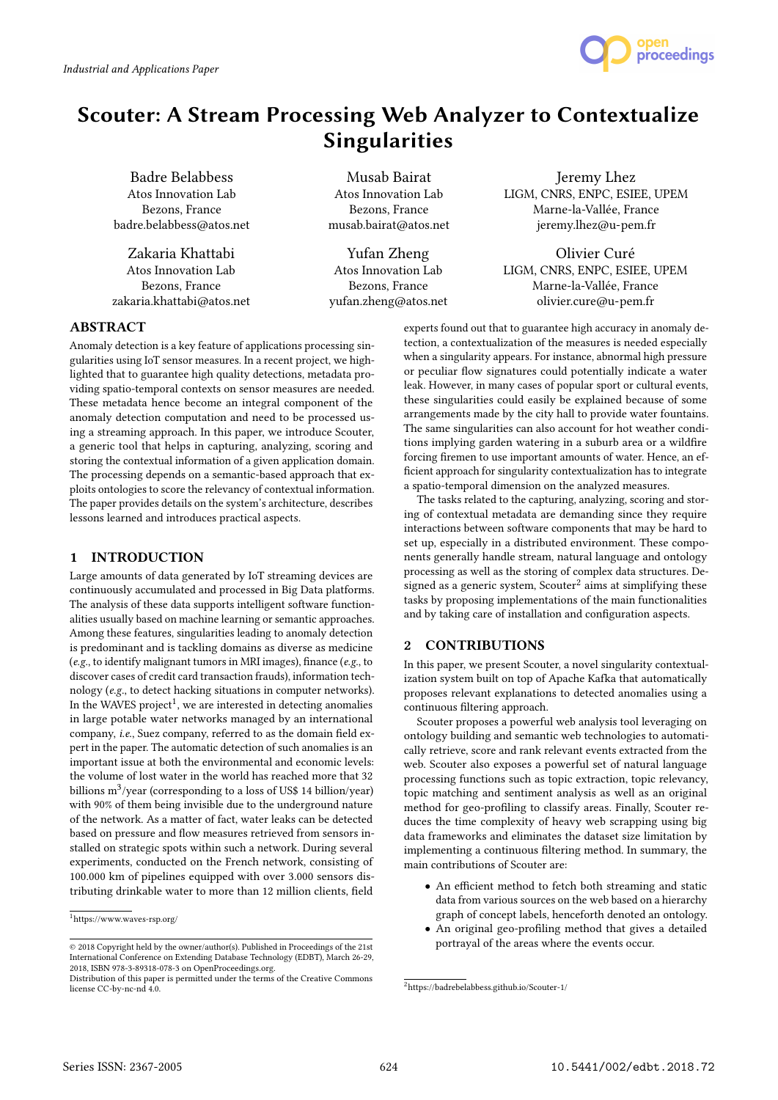

# Scouter: A Stream Processing Web Analyzer to Contextualize Singularities

Badre Belabbess Atos Innovation Lab Bezons, France badre.belabbess@atos.net

Zakaria Khattabi Atos Innovation Lab Bezons, France zakaria.khattabi@atos.net

Musab Bairat Atos Innovation Lab Bezons, France musab.bairat@atos.net

Yufan Zheng Atos Innovation Lab Bezons, France yufan.zheng@atos.net

Jeremy Lhez LIGM, CNRS, ENPC, ESIEE, UPEM Marne-la-Vallée, France jeremy.lhez@u-pem.fr

Olivier Curé LIGM, CNRS, ENPC, ESIEE, UPEM Marne-la-Vallée, France olivier.cure@u-pem.fr

# **ABSTRACT**

Anomaly detection is a key feature of applications processing singularities using IoT sensor measures. In a recent project, we highlighted that to guarantee high quality detections, metadata providing spatio-temporal contexts on sensor measures are needed. These metadata hence become an integral component of the anomaly detection computation and need to be processed using a streaming approach. In this paper, we introduce Scouter, a generic tool that helps in capturing, analyzing, scoring and storing the contextual information of a given application domain. The processing depends on a semantic-based approach that exploits ontologies to score the relevancy of contextual information. The paper provides details on the system's architecture, describes lessons learned and introduces practical aspects.

## 1 INTRODUCTION

Large amounts of data generated by IoT streaming devices are continuously accumulated and processed in Big Data platforms. The analysis of these data supports intelligent software functionalities usually based on machine learning or semantic approaches. Among these features, singularities leading to anomaly detection is predominant and is tackling domains as diverse as medicine (e.g., to identify malignant tumors in MRI images), finance (e.g., to discover cases of credit card transaction frauds), information technology (e.g., to detect hacking situations in computer networks). In the WAVES project $^1$ , we are interested in detecting anomalies in large potable water networks managed by an international company, i.e., Suez company, referred to as the domain field expert in the paper. The automatic detection of such anomalies is an important issue at both the environmental and economic levels: the volume of lost water in the world has reached more that 32 billions m $^3$ /year (corresponding to a loss of US\$ 14 billion/year) with 90% of them being invisible due to the underground nature of the network. As a matter of fact, water leaks can be detected based on pressure and flow measures retrieved from sensors installed on strategic spots within such a network. During several experiments, conducted on the French network, consisting of 100.000 km of pipelines equipped with over 3.000 sensors distributing drinkable water to more than 12 million clients, field

experts found out that to guarantee high accuracy in anomaly detection, a contextualization of the measures is needed especially when a singularity appears. For instance, abnormal high pressure or peculiar flow signatures could potentially indicate a water leak. However, in many cases of popular sport or cultural events, these singularities could easily be explained because of some arrangements made by the city hall to provide water fountains. The same singularities can also account for hot weather conditions implying garden watering in a suburb area or a wildfire forcing firemen to use important amounts of water. Hence, an efficient approach for singularity contextualization has to integrate a spatio-temporal dimension on the analyzed measures.

The tasks related to the capturing, analyzing, scoring and storing of contextual metadata are demanding since they require interactions between software components that may be hard to set up, especially in a distributed environment. These components generally handle stream, natural language and ontology processing as well as the storing of complex data structures. Designed as a generic system, Scouter<sup>2</sup> aims at simplifying these tasks by proposing implementations of the main functionalities and by taking care of installation and configuration aspects.

## 2 CONTRIBUTIONS

In this paper, we present Scouter, a novel singularity contextualization system built on top of Apache Kafka that automatically proposes relevant explanations to detected anomalies using a continuous filtering approach.

Scouter proposes a powerful web analysis tool leveraging on ontology building and semantic web technologies to automatically retrieve, score and rank relevant events extracted from the web. Scouter also exposes a powerful set of natural language processing functions such as topic extraction, topic relevancy, topic matching and sentiment analysis as well as an original method for geo-profiling to classify areas. Finally, Scouter reduces the time complexity of heavy web scrapping using big data frameworks and eliminates the dataset size limitation by implementing a continuous filtering method. In summary, the main contributions of Scouter are:

- An efficient method to fetch both streaming and static data from various sources on the web based on a hierarchy graph of concept labels, henceforth denoted an ontology.
- An original geo-profiling method that gives a detailed portrayal of the areas where the events occur.

 $^1$ https://www.waves-rsp.org/

<sup>©</sup> 2018 Copyright held by the owner/author(s). Published in Proceedings of the 21st International Conference on Extending Database Technology (EDBT), March 26-29, 2018, ISBN 978-3-89318-078-3 on OpenProceedings.org.

Distribution of this paper is permitted under the terms of the Creative Commons license CC-by-nc-nd 4.0.

<sup>2</sup>https://badrebelabbess.github.io/Scouter-1/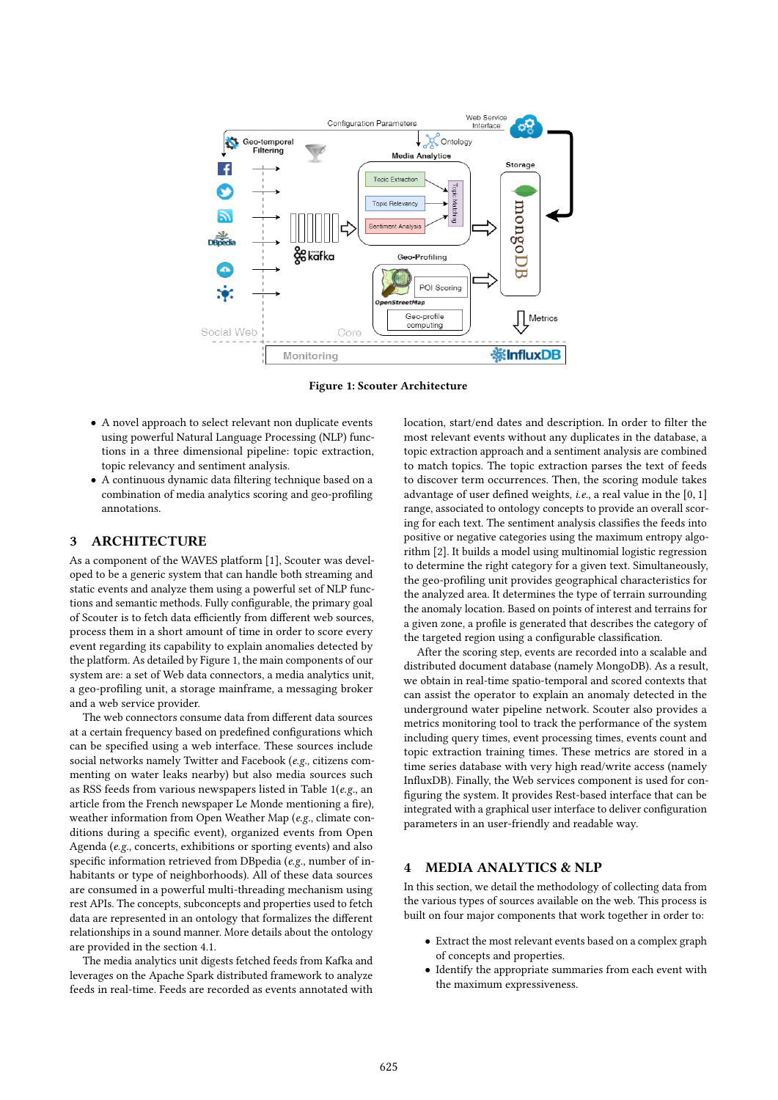

Figure 1: Scouter Architecture

- A novel approach to select relevant non duplicate events using powerful Natural Language Processing (NLP) functions in a three dimensional pipeline: topic extraction, topic relevancy and sentiment analysis.
- A continuous dynamic data filtering technique based on a combination of media analytics scoring and geo-profiling annotations.

### 3 ARCHITECTURE

As a component of the WAVES platform [1], Scouter was developed to be a generic system that can handle both streaming and static events and analyze them using a powerful set of NLP functions and semantic methods. Fully configurable, the primary goal of Scouter is to fetch data efficiently from different web sources, process them in a short amount of time in order to score every event regarding its capability to explain anomalies detected by the platform. As detailed by Figure 1, the main components of our system are: a set of Web data connectors, a media analytics unit, a geo-profiling unit, a storage mainframe, a messaging broker and a web service provider.

The web connectors consume data from different data sources at a certain frequency based on predefined configurations which can be specified using a web interface. These sources include social networks namely Twitter and Facebook (e.g., citizens commenting on water leaks nearby) but also media sources such as RSS feeds from various newspapers listed in Table 1(e.g., an article from the French newspaper Le Monde mentioning a fire), weather information from Open Weather Map (e.g., climate conditions during a specific event), organized events from Open Agenda (e.g., concerts, exhibitions or sporting events) and also specific information retrieved from DBpedia (e.g., number of inhabitants or type of neighborhoods). All of these data sources are consumed in a powerful multi-threading mechanism using rest APIs. The concepts, subconcepts and properties used to fetch data are represented in an ontology that formalizes the different relationships in a sound manner. More details about the ontology are provided in the section 4.1.

The media analytics unit digests fetched feeds from Kafka and leverages on the Apache Spark distributed framework to analyze feeds in real-time. Feeds are recorded as events annotated with location, start/end dates and description. In order to filter the most relevant events without any duplicates in the database, a topic extraction approach and a sentiment analysis are combined to match topics. The topic extraction parses the text of feeds to discover term occurrences. Then, the scoring module takes advantage of user defined weights, <sup>i</sup>.e., a real value in the [0, <sup>1</sup>] range, associated to ontology concepts to provide an overall scoring for each text. The sentiment analysis classifies the feeds into positive or negative categories using the maximum entropy algorithm [2]. It builds a model using multinomial logistic regression to determine the right category for a given text. Simultaneously, the geo-profiling unit provides geographical characteristics for the analyzed area. It determines the type of terrain surrounding the anomaly location. Based on points of interest and terrains for a given zone, a profile is generated that describes the category of the targeted region using a configurable classification.

After the scoring step, events are recorded into a scalable and distributed document database (namely MongoDB). As a result, we obtain in real-time spatio-temporal and scored contexts that can assist the operator to explain an anomaly detected in the underground water pipeline network. Scouter also provides a metrics monitoring tool to track the performance of the system including query times, event processing times, events count and topic extraction training times. These metrics are stored in a time series database with very high read/write access (namely InfluxDB). Finally, the Web services component is used for configuring the system. It provides Rest-based interface that can be integrated with a graphical user interface to deliver configuration parameters in an user-friendly and readable way.

#### 4 MEDIA ANALYTICS & NLP

In this section, we detail the methodology of collecting data from the various types of sources available on the web. This process is built on four major components that work together in order to:

- Extract the most relevant events based on a complex graph of concepts and properties.
- Identify the appropriate summaries from each event with the maximum expressiveness.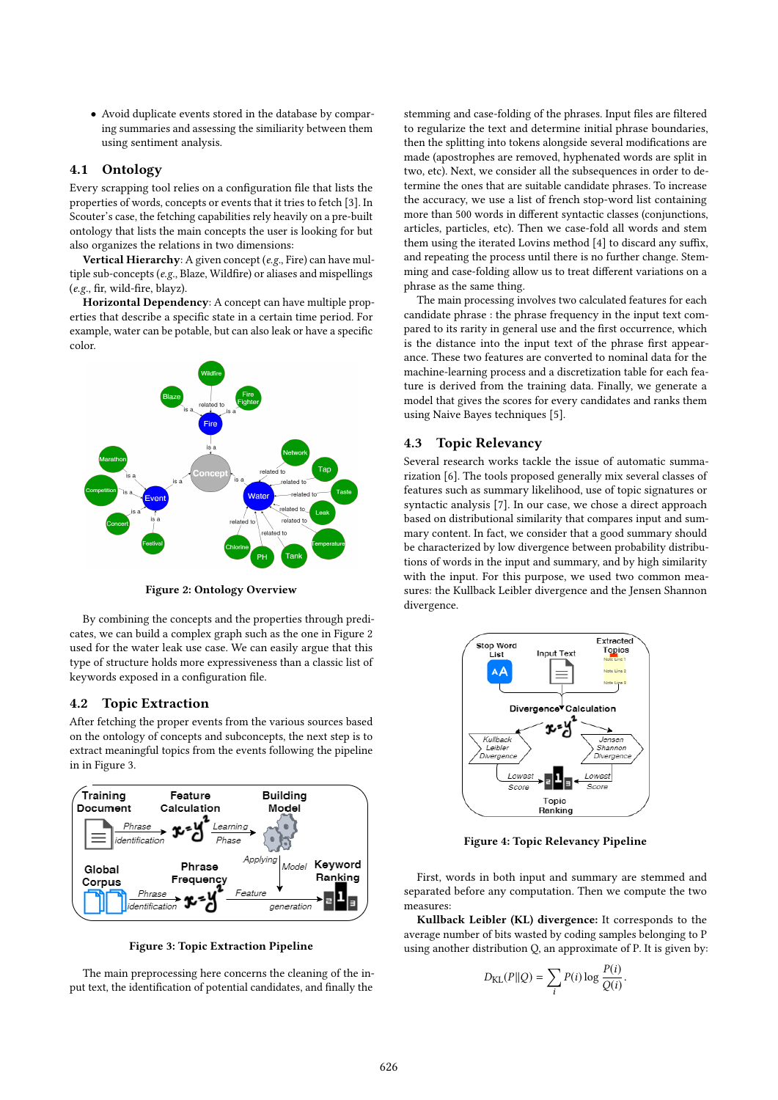• Avoid duplicate events stored in the database by comparing summaries and assessing the similiarity between them using sentiment analysis.

## 4.1 Ontology

Every scrapping tool relies on a configuration file that lists the properties of words, concepts or events that it tries to fetch [3]. In Scouter's case, the fetching capabilities rely heavily on a pre-built ontology that lists the main concepts the user is looking for but also organizes the relations in two dimensions:

Vertical Hierarchy: A given concept (e.g., Fire) can have multiple sub-concepts (e.g., Blaze, Wildfire) or aliases and mispellings (e.g., fir, wild-fire, blayz).

Horizontal Dependency: A concept can have multiple properties that describe a specific state in a certain time period. For example, water can be potable, but can also leak or have a specific color.



Figure 2: Ontology Overview

By combining the concepts and the properties through predicates, we can build a complex graph such as the one in Figure 2 used for the water leak use case. We can easily argue that this type of structure holds more expressiveness than a classic list of keywords exposed in a configuration file.

## 4.2 Topic Extraction

After fetching the proper events from the various sources based on the ontology of concepts and subconcepts, the next step is to extract meaningful topics from the events following the pipeline in in Figure 3.



Figure 3: Topic Extraction Pipeline

The main preprocessing here concerns the cleaning of the input text, the identification of potential candidates, and finally the

stemming and case-folding of the phrases. Input files are filtered to regularize the text and determine initial phrase boundaries, then the splitting into tokens alongside several modifications are made (apostrophes are removed, hyphenated words are split in two, etc). Next, we consider all the subsequences in order to determine the ones that are suitable candidate phrases. To increase the accuracy, we use a list of french stop-word list containing more than 500 words in different syntactic classes (conjunctions, articles, particles, etc). Then we case-fold all words and stem them using the iterated Lovins method [4] to discard any suffix, and repeating the process until there is no further change. Stemming and case-folding allow us to treat different variations on a phrase as the same thing.

The main processing involves two calculated features for each candidate phrase : the phrase frequency in the input text compared to its rarity in general use and the first occurrence, which is the distance into the input text of the phrase first appearance. These two features are converted to nominal data for the machine-learning process and a discretization table for each feature is derived from the training data. Finally, we generate a model that gives the scores for every candidates and ranks them using Naive Bayes techniques [5].

#### 4.3 Topic Relevancy

Several research works tackle the issue of automatic summarization [6]. The tools proposed generally mix several classes of features such as summary likelihood, use of topic signatures or syntactic analysis [7]. In our case, we chose a direct approach based on distributional similarity that compares input and summary content. In fact, we consider that a good summary should be characterized by low divergence between probability distributions of words in the input and summary, and by high similarity with the input. For this purpose, we used two common measures: the Kullback Leibler divergence and the Jensen Shannon divergence.



Figure 4: Topic Relevancy Pipeline

First, words in both input and summary are stemmed and separated before any computation. Then we compute the two measures:

Kullback Leibler (KL) divergence: It corresponds to the average number of bits wasted by coding samples belonging to P using another distribution Q, an approximate of P. It is given by:

$$
D_{\text{KL}}(P||Q) = \sum_{i} P(i) \log \frac{P(i)}{Q(i)}
$$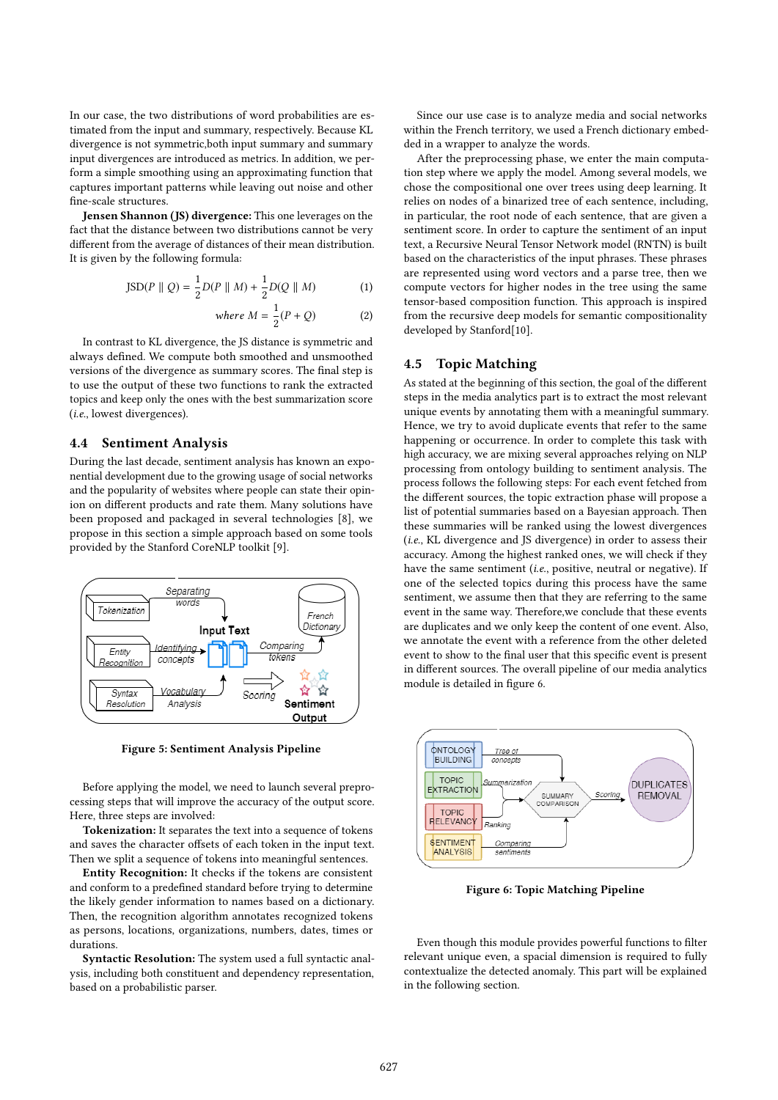In our case, the two distributions of word probabilities are estimated from the input and summary, respectively. Because KL divergence is not symmetric,both input summary and summary input divergences are introduced as metrics. In addition, we perform a simple smoothing using an approximating function that captures important patterns while leaving out noise and other fine-scale structures.

Jensen Shannon (JS) divergence: This one leverages on the fact that the distance between two distributions cannot be very different from the average of distances of their mean distribution. It is given by the following formula:

$$
JSD(P || Q) = \frac{1}{2}D(P || M) + \frac{1}{2}D(Q || M)
$$
 (1)

where 
$$
M = \frac{1}{2}(P + Q)
$$
 (2)

In contrast to KL divergence, the JS distance is symmetric and always defined. We compute both smoothed and unsmoothed versions of the divergence as summary scores. The final step is to use the output of these two functions to rank the extracted topics and keep only the ones with the best summarization score (i.e., lowest divergences).

#### 4.4 Sentiment Analysis

During the last decade, sentiment analysis has known an exponential development due to the growing usage of social networks and the popularity of websites where people can state their opinion on different products and rate them. Many solutions have been proposed and packaged in several technologies [8], we propose in this section a simple approach based on some tools provided by the Stanford CoreNLP toolkit [9].



Figure 5: Sentiment Analysis Pipeline

Before applying the model, we need to launch several preprocessing steps that will improve the accuracy of the output score. Here, three steps are involved:

Tokenization: It separates the text into a sequence of tokens and saves the character offsets of each token in the input text. Then we split a sequence of tokens into meaningful sentences.

Entity Recognition: It checks if the tokens are consistent and conform to a predefined standard before trying to determine the likely gender information to names based on a dictionary. Then, the recognition algorithm annotates recognized tokens as persons, locations, organizations, numbers, dates, times or durations.

Syntactic Resolution: The system used a full syntactic analysis, including both constituent and dependency representation, based on a probabilistic parser.

Since our use case is to analyze media and social networks within the French territory, we used a French dictionary embedded in a wrapper to analyze the words.

After the preprocessing phase, we enter the main computation step where we apply the model. Among several models, we chose the compositional one over trees using deep learning. It relies on nodes of a binarized tree of each sentence, including, in particular, the root node of each sentence, that are given a sentiment score. In order to capture the sentiment of an input text, a Recursive Neural Tensor Network model (RNTN) is built based on the characteristics of the input phrases. These phrases are represented using word vectors and a parse tree, then we compute vectors for higher nodes in the tree using the same tensor-based composition function. This approach is inspired from the recursive deep models for semantic compositionality developed by Stanford[10].

## 4.5 Topic Matching

As stated at the beginning of this section, the goal of the different steps in the media analytics part is to extract the most relevant unique events by annotating them with a meaningful summary. Hence, we try to avoid duplicate events that refer to the same happening or occurrence. In order to complete this task with high accuracy, we are mixing several approaches relying on NLP processing from ontology building to sentiment analysis. The process follows the following steps: For each event fetched from the different sources, the topic extraction phase will propose a list of potential summaries based on a Bayesian approach. Then these summaries will be ranked using the lowest divergences (i.e., KL divergence and JS divergence) in order to assess their accuracy. Among the highest ranked ones, we will check if they have the same sentiment *(i.e., positive, neutral or negative)*. If one of the selected topics during this process have the same sentiment, we assume then that they are referring to the same event in the same way. Therefore,we conclude that these events are duplicates and we only keep the content of one event. Also, we annotate the event with a reference from the other deleted event to show to the final user that this specific event is present in different sources. The overall pipeline of our media analytics module is detailed in figure 6.



Figure 6: Topic Matching Pipeline

Even though this module provides powerful functions to filter relevant unique even, a spacial dimension is required to fully contextualize the detected anomaly. This part will be explained in the following section.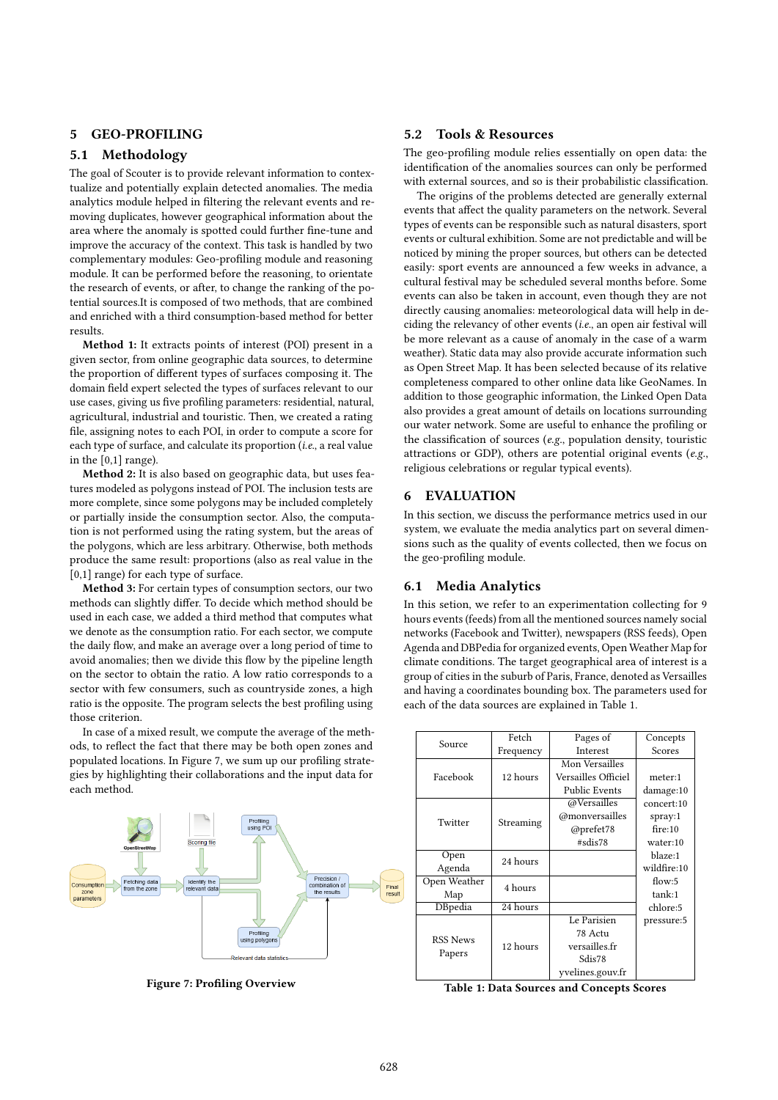## 5 GEO-PROFILING

## 5.1 Methodology

The goal of Scouter is to provide relevant information to contextualize and potentially explain detected anomalies. The media analytics module helped in filtering the relevant events and removing duplicates, however geographical information about the area where the anomaly is spotted could further fine-tune and improve the accuracy of the context. This task is handled by two complementary modules: Geo-profiling module and reasoning module. It can be performed before the reasoning, to orientate the research of events, or after, to change the ranking of the potential sources.It is composed of two methods, that are combined and enriched with a third consumption-based method for better results.

Method 1: It extracts points of interest (POI) present in a given sector, from online geographic data sources, to determine the proportion of different types of surfaces composing it. The domain field expert selected the types of surfaces relevant to our use cases, giving us five profiling parameters: residential, natural, agricultural, industrial and touristic. Then, we created a rating file, assigning notes to each POI, in order to compute a score for each type of surface, and calculate its proportion (i.e., a real value in the [0,1] range).

Method 2: It is also based on geographic data, but uses features modeled as polygons instead of POI. The inclusion tests are more complete, since some polygons may be included completely or partially inside the consumption sector. Also, the computation is not performed using the rating system, but the areas of the polygons, which are less arbitrary. Otherwise, both methods produce the same result: proportions (also as real value in the [0,1] range) for each type of surface.

Method 3: For certain types of consumption sectors, our two methods can slightly differ. To decide which method should be used in each case, we added a third method that computes what we denote as the consumption ratio. For each sector, we compute the daily flow, and make an average over a long period of time to avoid anomalies; then we divide this flow by the pipeline length on the sector to obtain the ratio. A low ratio corresponds to a sector with few consumers, such as countryside zones, a high ratio is the opposite. The program selects the best profiling using those criterion.

In case of a mixed result, we compute the average of the methods, to reflect the fact that there may be both open zones and populated locations. In Figure 7, we sum up our profiling strategies by highlighting their collaborations and the input data for each method.



Figure 7: Profiling Overview

#### 5.2 Tools & Resources

The geo-profiling module relies essentially on open data: the identification of the anomalies sources can only be performed with external sources, and so is their probabilistic classification.

The origins of the problems detected are generally external events that affect the quality parameters on the network. Several types of events can be responsible such as natural disasters, sport events or cultural exhibition. Some are not predictable and will be noticed by mining the proper sources, but others can be detected easily: sport events are announced a few weeks in advance, a cultural festival may be scheduled several months before. Some events can also be taken in account, even though they are not directly causing anomalies: meteorological data will help in deciding the relevancy of other events (i.e., an open air festival will be more relevant as a cause of anomaly in the case of a warm weather). Static data may also provide accurate information such as Open Street Map. It has been selected because of its relative completeness compared to other online data like GeoNames. In addition to those geographic information, the Linked Open Data also provides a great amount of details on locations surrounding our water network. Some are useful to enhance the profiling or the classification of sources (e.g., population density, touristic attractions or GDP), others are potential original events (e.g., religious celebrations or regular typical events).

## 6 EVALUATION

In this section, we discuss the performance metrics used in our system, we evaluate the media analytics part on several dimensions such as the quality of events collected, then we focus on the geo-profiling module.

#### 6.1 Media Analytics

In this setion, we refer to an experimentation collecting for 9 hours events (feeds) from all the mentioned sources namely social networks (Facebook and Twitter), newspapers (RSS feeds), Open Agenda and DBPedia for organized events, Open Weather Map for climate conditions. The target geographical area of interest is a group of cities in the suburb of Paris, France, denoted as Versailles and having a coordinates bounding box. The parameters used for each of the data sources are explained in Table 1.

| Source                    | Fetch     | Pages of                    | Concepts    |  |  |  |
|---------------------------|-----------|-----------------------------|-------------|--|--|--|
|                           | Frequency | <b>Interest</b>             | Scores      |  |  |  |
|                           |           | Mon Versailles              |             |  |  |  |
| Facebook                  | 12 hours  | Versailles Officiel         | meter:1     |  |  |  |
|                           |           | Public Events               | damage:10   |  |  |  |
|                           |           | @Versailles                 | concert:10  |  |  |  |
| Twitter                   |           | @monversailles<br>Streaming |             |  |  |  |
|                           |           | @prefet78                   | fire:10     |  |  |  |
|                           |           | #sdis78                     | water:10    |  |  |  |
| Open                      | 24 hours  |                             | blaze:1     |  |  |  |
| Agenda                    |           |                             | wildfire:10 |  |  |  |
| Open Weather              | 4 hours   |                             | flow: $5$   |  |  |  |
| Map                       |           |                             | tank:1      |  |  |  |
| DBpedia                   | 24 hours  |                             | chlore:5    |  |  |  |
|                           |           | Le Parisien                 | pressure:5  |  |  |  |
| <b>RSS News</b><br>Papers |           | 78 Actu                     |             |  |  |  |
|                           | 12 hours  | versailles.fr               |             |  |  |  |
|                           |           | Sdis78                      |             |  |  |  |
|                           |           | yvelines.gouv.fr            |             |  |  |  |

Table 1: Data Sources and Concepts Scores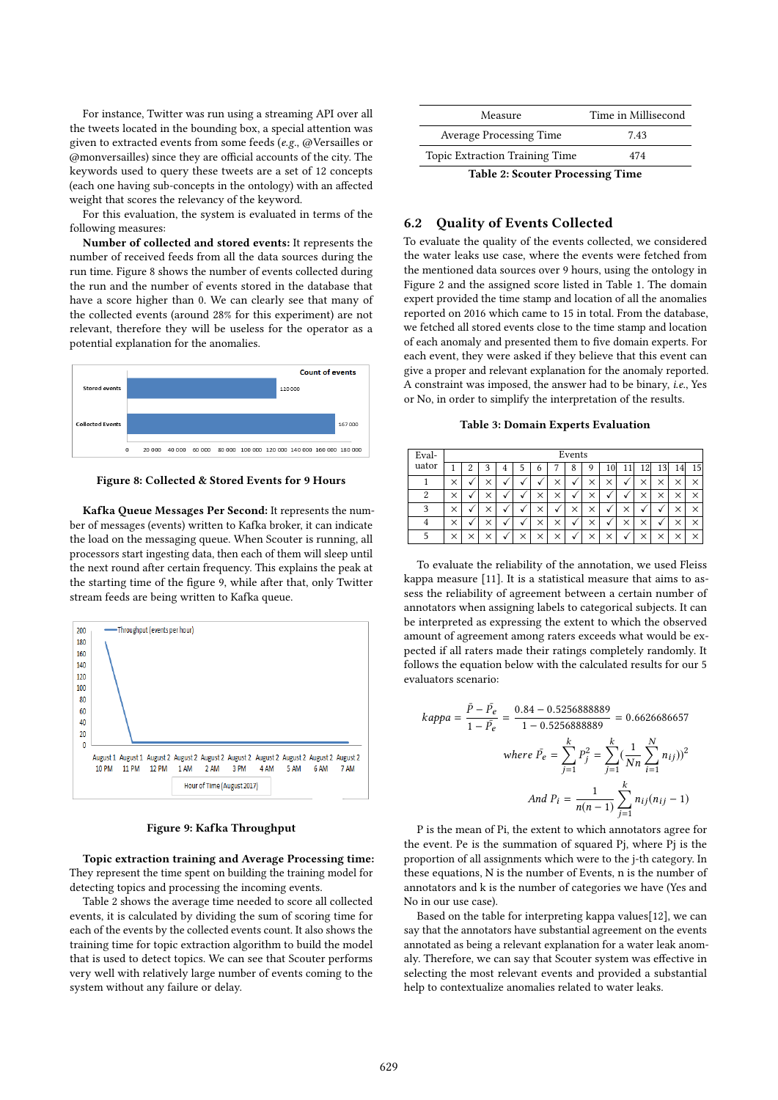For instance, Twitter was run using a streaming API over all the tweets located in the bounding box, a special attention was given to extracted events from some feeds (e.g., @Versailles or @monversailles) since they are official accounts of the city. The keywords used to query these tweets are a set of 12 concepts (each one having sub-concepts in the ontology) with an affected weight that scores the relevancy of the keyword.

For this evaluation, the system is evaluated in terms of the following measures:

Number of collected and stored events: It represents the number of received feeds from all the data sources during the run time. Figure 8 shows the number of events collected during the run and the number of events stored in the database that have a score higher than 0. We can clearly see that many of the collected events (around 28% for this experiment) are not relevant, therefore they will be useless for the operator as a potential explanation for the anomalies.



Figure 8: Collected & Stored Events for 9 Hours

Kafka Queue Messages Per Second: It represents the number of messages (events) written to Kafka broker, it can indicate the load on the messaging queue. When Scouter is running, all processors start ingesting data, then each of them will sleep until the next round after certain frequency. This explains the peak at the starting time of the figure 9, while after that, only Twitter stream feeds are being written to Kafka queue.



Figure 9: Kafka Throughput

Topic extraction training and Average Processing time: They represent the time spent on building the training model for detecting topics and processing the incoming events.

Table 2 shows the average time needed to score all collected events, it is calculated by dividing the sum of scoring time for each of the events by the collected events count. It also shows the training time for topic extraction algorithm to build the model that is used to detect topics. We can see that Scouter performs very well with relatively large number of events coming to the system without any failure or delay.

| Measure                                 | Time in Millisecond |  |  |  |  |
|-----------------------------------------|---------------------|--|--|--|--|
| <b>Average Processing Time</b>          | 7.43                |  |  |  |  |
| <b>Topic Extraction Training Time</b>   | 474                 |  |  |  |  |
| <b>Table 2: Scouter Processing Time</b> |                     |  |  |  |  |

## 6.2 Quality of Events Collected

To evaluate the quality of the events collected, we considered the water leaks use case, where the events were fetched from the mentioned data sources over 9 hours, using the ontology in Figure 2 and the assigned score listed in Table 1. The domain expert provided the time stamp and location of all the anomalies reported on 2016 which came to 15 in total. From the database, we fetched all stored events close to the time stamp and location of each anomaly and presented them to five domain experts. For each event, they were asked if they believe that this event can give a proper and relevant explanation for the anomaly reported. A constraint was imposed, the answer had to be binary, i.e., Yes or No, in order to simplify the interpretation of the results.

Table 3: Domain Experts Evaluation

| Eval- | Events   |   |          |   |          |          |          |          |          |    |   |          |          |          |          |
|-------|----------|---|----------|---|----------|----------|----------|----------|----------|----|---|----------|----------|----------|----------|
| uator |          | 2 | 3        | 4 | ć        | o        |          | 8        | 9        | 10 |   | 12       |          | 14       | 15       |
|       | $\times$ | √ | $\times$ | √ | v        | $\cdot$  | ×        | √        | $\times$ | ×  |   | $\times$ | $\times$ | $\times$ | $\times$ |
| 2     | $\times$ |   | $\times$ | v | v        |          | $\times$ | √        | $\times$ | v  |   | $\times$ | $\times$ | $\times$ | $\times$ |
| 3     | ×        |   | $\times$ | v | v        | ×        | √        | $\times$ | ×        | v  | × | v        | v        | $\times$ | ×        |
| 4     | ×        |   | $\times$ | v | v        |          | $\times$ | √        | $\times$ | v  | × | $\times$ | √        | $\times$ | $\times$ |
| 5     | ×        |   | $\times$ | v | $\times$ | $\times$ | ×        | √        | $\times$ | ×  |   | $\times$ | $\times$ | $\times$ | ×        |

To evaluate the reliability of the annotation, we used Fleiss kappa measure [11]. It is a statistical measure that aims to assess the reliability of agreement between a certain number of annotators when assigning labels to categorical subjects. It can be interpreted as expressing the extent to which the observed amount of agreement among raters exceeds what would be expected if all raters made their ratings completely randomly. It follows the equation below with the calculated results for our 5 evaluators scenario:

$$
kappa = \frac{\bar{P} - \bar{P}_e}{1 - \bar{P}_e} = \frac{0.84 - 0.5256888889}{1 - 0.5256888889} = 0.6626686657
$$
\n
$$
where \ \bar{P}_e = \sum_{j=1}^k P_j^2 = \sum_{j=1}^k \left(\frac{1}{Nn} \sum_{i=1}^N n_{ij}\right)^2
$$
\n
$$
And \ P_i = \frac{1}{n(n-1)} \sum_{j=1}^k n_{ij} (n_{ij} - 1)
$$

P is the mean of Pi, the extent to which annotators agree for the event. Pe is the summation of squared Pj, where Pj is the proportion of all assignments which were to the j-th category. In these equations, N is the number of Events, n is the number of annotators and k is the number of categories we have (Yes and No in our use case).

Based on the table for interpreting kappa values[12], we can say that the annotators have substantial agreement on the events annotated as being a relevant explanation for a water leak anomaly. Therefore, we can say that Scouter system was effective in selecting the most relevant events and provided a substantial help to contextualize anomalies related to water leaks.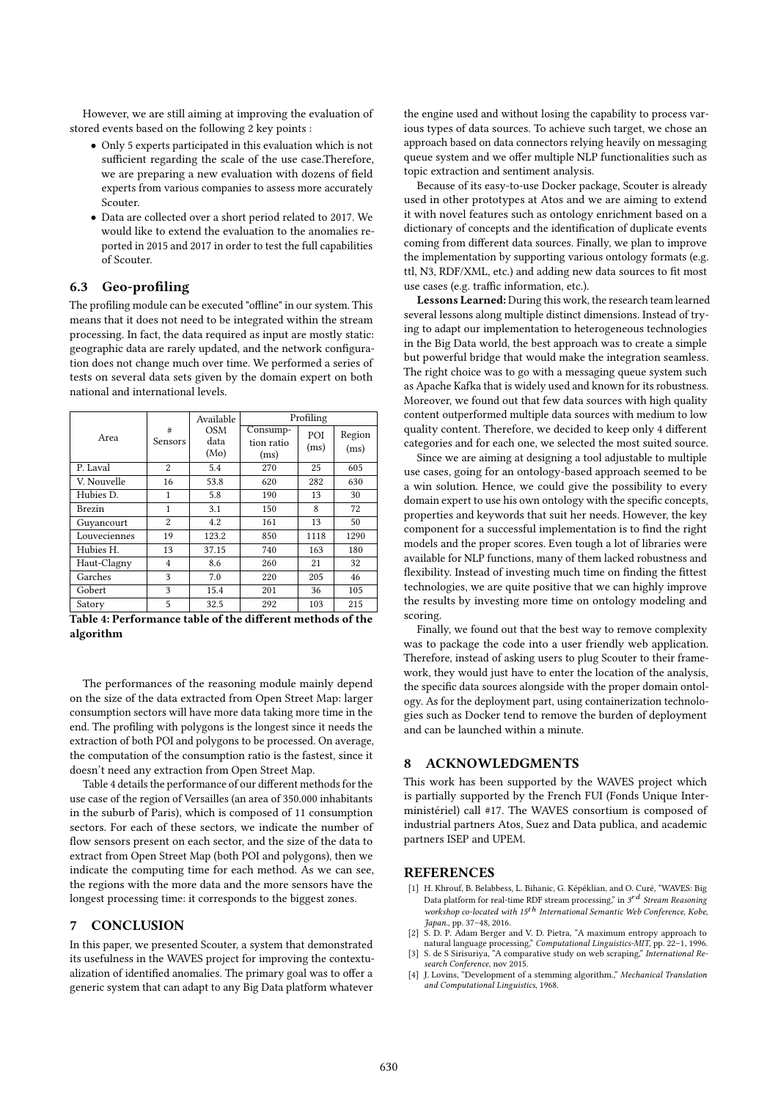However, we are still aiming at improving the evaluation of stored events based on the following 2 key points :

- Only 5 experts participated in this evaluation which is not sufficient regarding the scale of the use case.Therefore, we are preparing a new evaluation with dozens of field experts from various companies to assess more accurately Scouter.
- Data are collected over a short period related to 2017. We would like to extend the evaluation to the anomalies reported in 2015 and 2017 in order to test the full capabilities of Scouter.

## 6.3 Geo-profiling

The profiling module can be executed "offline" in our system. This means that it does not need to be integrated within the stream processing. In fact, the data required as input are mostly static: geographic data are rarely updated, and the network configuration does not change much over time. We performed a series of tests on several data sets given by the domain expert on both national and international levels.

|               |                     | Available                  | Profiling                      |             |                |  |  |
|---------------|---------------------|----------------------------|--------------------------------|-------------|----------------|--|--|
| Area          | #<br><b>Sensors</b> | <b>OSM</b><br>data<br>(Mo) | Consump-<br>tion ratio<br>(ms) | POI<br>(ms) | Region<br>(ms) |  |  |
| P. Laval      | 2                   | 5.4                        | 270                            | 25          | 605            |  |  |
| V. Nouvelle   | 16                  | 53.8                       | 620                            | 282         | 630            |  |  |
| Hubies D.     | 1                   | 5.8                        | 190                            | 13          | 30             |  |  |
| <b>Brezin</b> | 1                   | 3.1                        | 150                            | 8           | 72             |  |  |
| Guyancourt    | 2                   | 4.2                        | 161                            | 13          | 50             |  |  |
| Louveciennes  | 19                  | 123.2                      | 850                            | 1118        | 1290           |  |  |
| Hubies H.     | 13                  | 37.15                      | 740                            | 163         | 180            |  |  |
| Haut-Clagny   | 4                   | 8.6                        | 260                            | 21          | 32             |  |  |
| Garches       | 3                   | 7.0                        | 220                            | 205         | 46             |  |  |
| Gobert        | 3                   | 15.4                       | 201                            | 36          | 105            |  |  |
| Satory        | 5                   | 32.5                       | 292                            | 103         | 215            |  |  |

Table 4: Performance table of the different methods of the algorithm

The performances of the reasoning module mainly depend on the size of the data extracted from Open Street Map: larger consumption sectors will have more data taking more time in the end. The profiling with polygons is the longest since it needs the extraction of both POI and polygons to be processed. On average, the computation of the consumption ratio is the fastest, since it doesn't need any extraction from Open Street Map.

Table 4 details the performance of our different methods for the use case of the region of Versailles (an area of 350.000 inhabitants in the suburb of Paris), which is composed of 11 consumption sectors. For each of these sectors, we indicate the number of flow sensors present on each sector, and the size of the data to extract from Open Street Map (both POI and polygons), then we indicate the computing time for each method. As we can see, the regions with the more data and the more sensors have the longest processing time: it corresponds to the biggest zones.

#### 7 CONCLUSION

In this paper, we presented Scouter, a system that demonstrated its usefulness in the WAVES project for improving the contextualization of identified anomalies. The primary goal was to offer a generic system that can adapt to any Big Data platform whatever

the engine used and without losing the capability to process various types of data sources. To achieve such target, we chose an approach based on data connectors relying heavily on messaging queue system and we offer multiple NLP functionalities such as topic extraction and sentiment analysis.

Because of its easy-to-use Docker package, Scouter is already used in other prototypes at Atos and we are aiming to extend it with novel features such as ontology enrichment based on a dictionary of concepts and the identification of duplicate events coming from different data sources. Finally, we plan to improve the implementation by supporting various ontology formats (e.g. ttl, N3, RDF/XML, etc.) and adding new data sources to fit most use cases (e.g. traffic information, etc.).

Lessons Learned: During this work, the research team learned several lessons along multiple distinct dimensions. Instead of trying to adapt our implementation to heterogeneous technologies in the Big Data world, the best approach was to create a simple but powerful bridge that would make the integration seamless. The right choice was to go with a messaging queue system such as Apache Kafka that is widely used and known for its robustness. Moreover, we found out that few data sources with high quality content outperformed multiple data sources with medium to low quality content. Therefore, we decided to keep only 4 different categories and for each one, we selected the most suited source.

Since we are aiming at designing a tool adjustable to multiple use cases, going for an ontology-based approach seemed to be a win solution. Hence, we could give the possibility to every domain expert to use his own ontology with the specific concepts, properties and keywords that suit her needs. However, the key component for a successful implementation is to find the right models and the proper scores. Even tough a lot of libraries were available for NLP functions, many of them lacked robustness and flexibility. Instead of investing much time on finding the fittest technologies, we are quite positive that we can highly improve the results by investing more time on ontology modeling and scoring.

Finally, we found out that the best way to remove complexity was to package the code into a user friendly web application. Therefore, instead of asking users to plug Scouter to their framework, they would just have to enter the location of the analysis, the specific data sources alongside with the proper domain ontology. As for the deployment part, using containerization technologies such as Docker tend to remove the burden of deployment and can be launched within a minute.

#### 8 ACKNOWLEDGMENTS

This work has been supported by the WAVES project which is partially supported by the French FUI (Fonds Unique Interministériel) call #17. The WAVES consortium is composed of industrial partners Atos, Suez and Data publica, and academic partners ISEP and UPEM.

#### REFERENCES

- [1] H. Khrouf, B. Belabbess, L. Bihanic, G. Képéklian, and O. Curé, "WAVES: Big Data platform for real-time RDF stream processing," in  $3^{rd}$  Stream Reasoning workshop co-located with 15<sup>th</sup> International Semantic Web Conference, Kobe, Japan., pp. 37–48, 2016.
- [2] S. D. P. Adam Berger and V. D. Pietra, "A maximum entropy approach to natural language processing," *Computational Linguistics-MIT*, pp. 22–1, 1996.<br>[3] S. de S Sirisuriya, "A comparative study on web scraping," *Inter*
- search Conference, nov 2015.
- [4] J. Lovins, "Development of a stemming algorithm." Mechanical Translation and Computational Linguistics, 1968.